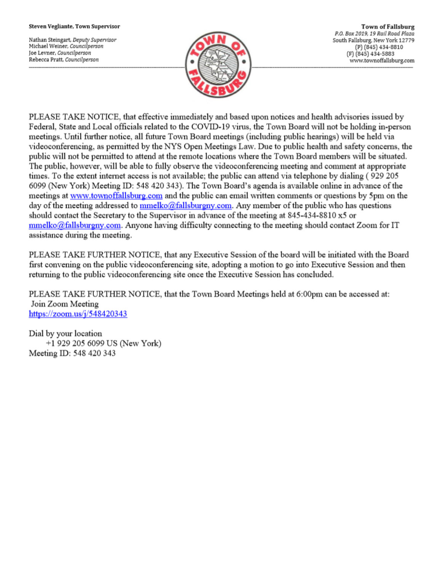#### Steven Vegliante, Town Supervisor

Nathan Steingart, Deputy Supervisor Michael Weiner, Councilperson Joe Levner, Councilperson Rebecca Pratt, Councilperson



**Town of Fallsburg** P.O. Box 2019, 19 Rail Road Plaza South Fallsburg, New York 12779 (P) (845) 434-8810 (F) (845) 434-5883 www.townoffallsburg.com

PLEASE TAKE NOTICE, that effective immediately and based upon notices and health advisories issued by Federal, State and Local officials related to the COVID-19 virus, the Town Board will not be holding in-person meetings. Until further notice, all future Town Board meetings (including public hearings) will be held via videoconferencing, as permitted by the NYS Open Meetings Law. Due to public health and safety concerns, the public will not be permitted to attend at the remote locations where the Town Board members will be situated. The public, however, will be able to fully observe the videoconferencing meeting and comment at appropriate times. To the extent internet access is not available; the public can attend via telephone by dialing (929 205 6099 (New York) Meeting ID: 548 420 343). The Town Board's agenda is available online in advance of the meetings at www.townoffallsburg.com and the public can email written comments or questions by 5pm on the day of the meeting addressed to **mmelko@fallsburgny.com**. Any member of the public who has questions should contact the Secretary to the Supervisor in advance of the meeting at 845-434-8810 x5 or  $mmelko@fallsburgny.com$ . Anyone having difficulty connecting to the meeting should contact Zoom for IT assistance during the meeting.

PLEASE TAKE FURTHER NOTICE, that any Executive Session of the board will be initiated with the Board first convening on the public videoconferencing site, adopting a motion to go into Executive Session and then returning to the public videoconferencing site once the Executive Session has concluded.

PLEASE TAKE FURTHER NOTICE, that the Town Board Meetings held at 6:00pm can be accessed at: Join Zoom Meeting https://zoom.us/j/548420343

Dial by your location +1 929 205 6099 US (New York) Meeting ID: 548 420 343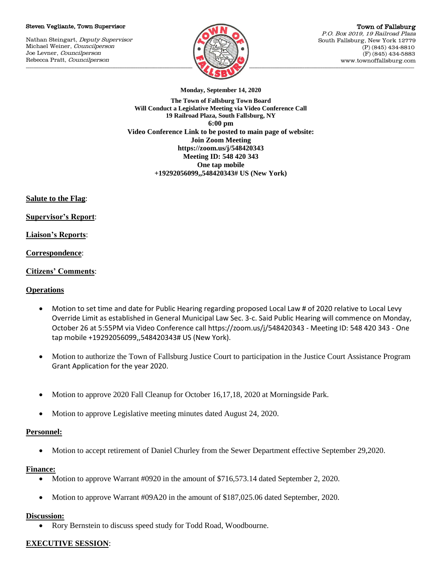#### Steven Vegliante, Town Supervisor

Nathan Steingart, Deputy Supervisor Michael Weiner, Councilperson Joe Levner, Councilperson Rebecca Pratt, Councilperson



Town of Fallsburg P.O. Box 2019, 19 Railroad Plaza South Fallsburg, New York 12779 (P) (845) 434-8810 (F) (845) 434-5883 www.townoffallsburg.com

**Monday, September 14, 2020**

**The Town of Fallsburg Town Board Will Conduct a Legislative Meeting via Video Conference Call 19 Railroad Plaza, South Fallsburg, NY 6:00 pm Video Conference Link to be posted to main page of website: Join Zoom Meeting https://zoom.us/j/548420343 Meeting ID: 548 420 343 One tap mobile +19292056099,,548420343# US (New York)**

**Salute to the Flag**:

**Supervisor's Report**:

**Liaison's Reports**:

## **Correspondence**:

## **Citizens' Comments**:

# **Operations**

- Motion to set time and date for Public Hearing regarding proposed Local Law # of 2020 relative to Local Levy Override Limit as established in General Municipal Law Sec. 3-c. Said Public Hearing will commence on Monday, October 26 at 5:55PM via Video Conference call https://zoom.us/j/548420343 - Meeting ID: 548 420 343 - One tap mobile +19292056099,,548420343# US (New York).
- Motion to authorize the Town of Fallsburg Justice Court to participation in the Justice Court Assistance Program Grant Application for the year 2020.
- Motion to approve 2020 Fall Cleanup for October 16,17,18, 2020 at Morningside Park.
- Motion to approve Legislative meeting minutes dated August 24, 2020.

### **Personnel:**

• Motion to accept retirement of Daniel Churley from the Sewer Department effective September 29,2020.

# **Finance:**

- Motion to approve Warrant #0920 in the amount of \$716,573.14 dated September 2, 2020.
- Motion to approve Warrant #09A20 in the amount of \$187,025.06 dated September, 2020.

### **Discussion:**

Rory Bernstein to discuss speed study for Todd Road, Woodbourne.

# **EXECUTIVE SESSION**: